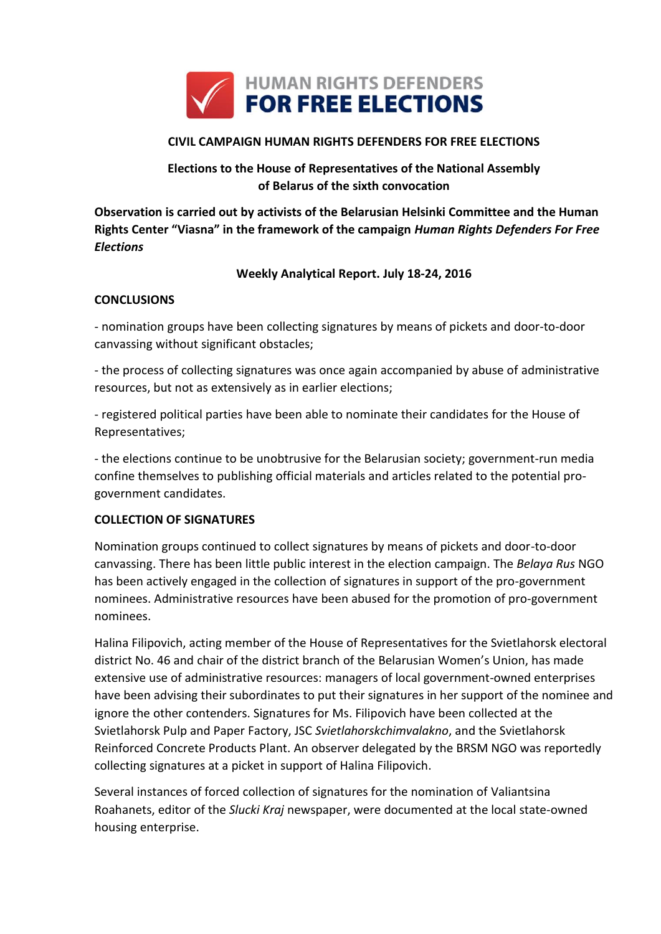

### **CIVIL CAMPAIGN HUMAN RIGHTS DEFENDERS FOR FREE ELECTIONS**

# **Elections to the House of Representatives of the National Assembly of Belarus of the sixth convocation**

**Observation is carried out by activists of the Belarusian Helsinki Committee and the Human Rights Center "Viasna" in the framework of the campaign** *Human Rights Defenders For Free Elections*

### **Weekly Analytical Report. July 18-24, 2016**

#### **CONCLUSIONS**

- nomination groups have been collecting signatures by means of pickets and door-to-door canvassing without significant obstacles;

- the process of collecting signatures was once again accompanied by abuse of administrative resources, but not as extensively as in earlier elections;

- registered political parties have been able to nominate their candidates for the House of Representatives;

- the elections continue to be unobtrusive for the Belarusian society; government-run media confine themselves to publishing official materials and articles related to the potential progovernment candidates.

### **COLLECTION OF SIGNATURES**

Nomination groups continued to collect signatures by means of pickets and door-to-door canvassing. There has been little public interest in the election campaign. The *Belaya Rus* NGO has been actively engaged in the collection of signatures in support of the pro-government nominees. Administrative resources have been abused for the promotion of pro-government nominees.

Halina Filipovich, acting member of the House of Representatives for the Svietlahorsk electoral district No. 46 and chair of the district branch of the Belarusian Women's Union, has made extensive use of administrative resources: managers of local government-owned enterprises have been advising their subordinates to put their signatures in her support of the nominee and ignore the other contenders. Signatures for Ms. Filipovich have been collected at the Svietlahorsk Pulp and Paper Factory, JSC *Svietlahorskchimvalakno*, and the Svietlahorsk Reinforced Concrete Products Plant. An observer delegated by the BRSM NGO was reportedly collecting signatures at a picket in support of Halina Filipovich.

Several instances of forced collection of signatures for the nomination of Valiantsina Roahanets, editor of the *Slucki Kraj* newspaper, were documented at the local state-owned housing enterprise.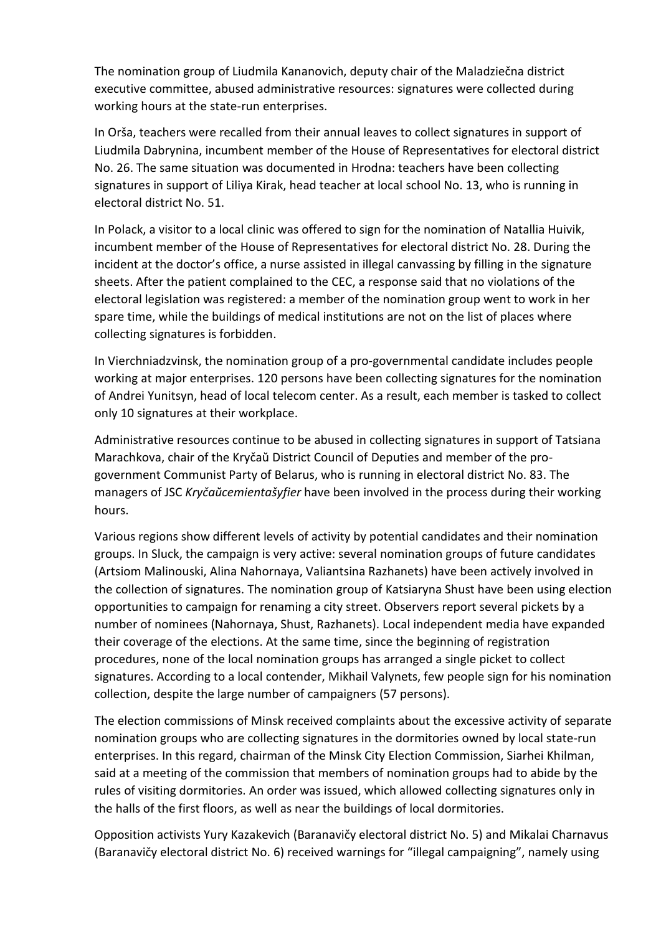The nomination group of Liudmila Kananovich, deputy chair of the Maladziečna district executive committee, abused administrative resources: signatures were collected during working hours at the state-run enterprises.

In Orša, teachers were recalled from their annual leaves to collect signatures in support of Liudmila Dabrynina, incumbent member of the House of Representatives for electoral district No. 26. The same situation was documented in Hrodna: teachers have been collecting signatures in support of Liliya Kirak, head teacher at local school No. 13, who is running in electoral district No. 51.

In Polack, a visitor to a local clinic was offered to sign for the nomination of Natallia Huivik, incumbent member of the House of Representatives for electoral district No. 28. During the incident at the doctor's office, a nurse assisted in illegal canvassing by filling in the signature sheets. After the patient complained to the CEC, a response said that no violations of the electoral legislation was registered: a member of the nomination group went to work in her spare time, while the buildings of medical institutions are not on the list of places where collecting signatures is forbidden.

In Vierchniadzvinsk, the nomination group of a pro-governmental candidate includes people working at major enterprises. 120 persons have been collecting signatures for the nomination of Andrei Yunitsyn, head of local telecom center. As a result, each member is tasked to collect only 10 signatures at their workplace.

Administrative resources continue to be abused in collecting signatures in support of Tatsiana Marachkova, chair of the Kryčaŭ District Council of Deputies and member of the progovernment Communist Party of Belarus, who is running in electoral district No. 83. The managers of JSC *Kryčaŭcemientašyfier* have been involved in the process during their working hours.

Various regions show different levels of activity by potential candidates and their nomination groups. In Sluck, the campaign is very active: several nomination groups of future candidates (Artsiom Malinouski, Alina Nahornaya, Valiantsina Razhanets) have been actively involved in the collection of signatures. The nomination group of Katsiaryna Shust have been using election opportunities to campaign for renaming a city street. Observers report several pickets by a number of nominees (Nahornaya, Shust, Razhanets). Local independent media have expanded their coverage of the elections. At the same time, since the beginning of registration procedures, none of the local nomination groups has arranged a single picket to collect signatures. According to a local contender, Mikhail Valynets, few people sign for his nomination collection, despite the large number of campaigners (57 persons).

The election commissions of Minsk received complaints about the excessive activity of separate nomination groups who are collecting signatures in the dormitories owned by local state-run enterprises. In this regard, chairman of the Minsk City Election Commission, Siarhei Khilman, said at a meeting of the commission that members of nomination groups had to abide by the rules of visiting dormitories. An order was issued, which allowed collecting signatures only in the halls of the first floors, as well as near the buildings of local dormitories.

Opposition activists Yury Kazakevich (Baranavičy electoral district No. 5) and Mikalai Charnavus (Baranavičy electoral district No. 6) received warnings for "illegal campaigning", namely using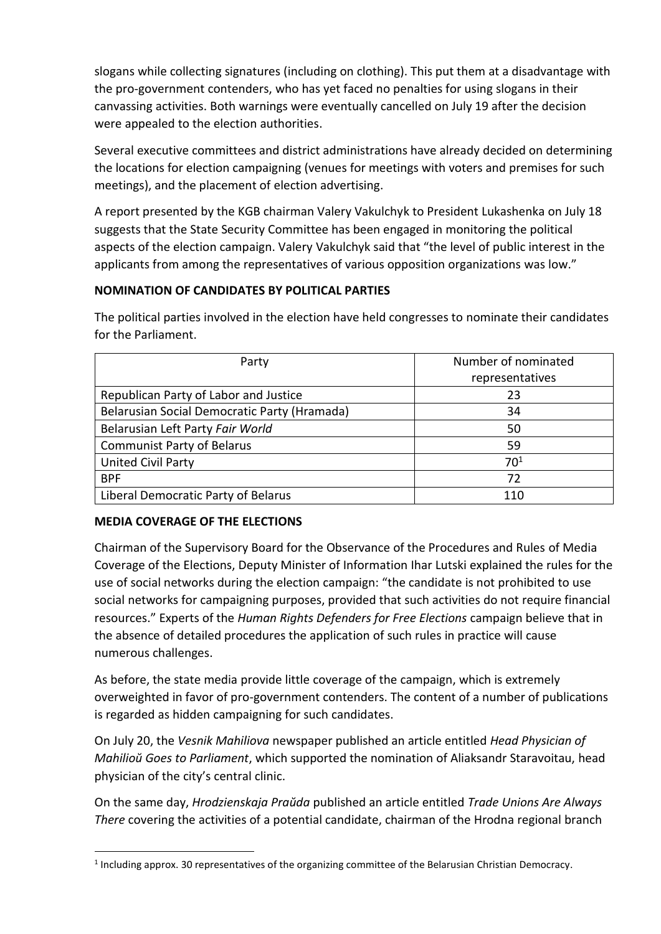slogans while collecting signatures (including on clothing). This put them at a disadvantage with the pro-government contenders, who has yet faced no penalties for using slogans in their canvassing activities. Both warnings were eventually cancelled on July 19 after the decision were appealed to the election authorities.

Several executive committees and district administrations have already decided on determining the locations for election campaigning (venues for meetings with voters and premises for such meetings), and the placement of election advertising.

A report presented by the KGB chairman Valery Vakulchyk to President Lukashenka on July 18 suggests that the State Security Committee has been engaged in monitoring the political aspects of the election campaign. Valery Vakulchyk said that "the level of public interest in the applicants from among the representatives of various opposition organizations was low."

## **NOMINATION OF CANDIDATES BY POLITICAL PARTIES**

| Party                                        | Number of nominated |
|----------------------------------------------|---------------------|
|                                              | representatives     |
| Republican Party of Labor and Justice        | 23                  |
| Belarusian Social Democratic Party (Hramada) | 34                  |
| Belarusian Left Party Fair World             | 50                  |
| <b>Communist Party of Belarus</b>            | 59                  |
| <b>United Civil Party</b>                    | $70^{1}$            |
| <b>BPF</b>                                   | 72                  |
| Liberal Democratic Party of Belarus          | 110                 |

The political parties involved in the election have held congresses to nominate their candidates for the Parliament.

### **MEDIA COVERAGE OF THE ELECTIONS**

**.** 

Chairman of the Supervisory Board for the Observance of the Procedures and Rules of Media Coverage of the Elections, Deputy Minister of Information Ihar Lutski explained the rules for the use of social networks during the election campaign: "the candidate is not prohibited to use social networks for campaigning purposes, provided that such activities do not require financial resources." Experts of the *Human Rights Defenders for Free Elections* campaign believe that in the absence of detailed procedures the application of such rules in practice will cause numerous challenges.

As before, the state media provide little coverage of the campaign, which is extremely overweighted in favor of pro-government contenders. The content of a number of publications is regarded as hidden campaigning for such candidates.

On July 20, the *Vesnik Mahiliova* newspaper published an article entitled *Head Physician of Mahilioŭ Goes to Parliament*, which supported the nomination of Aliaksandr Staravoitau, head physician of the city's central clinic.

On the same day, *Hrodzienskaja Praŭda* published an article entitled *Trade Unions Are Always There* covering the activities of a potential candidate, chairman of the Hrodna regional branch

<sup>&</sup>lt;sup>1</sup> Including approx. 30 representatives of the organizing committee of the Belarusian Christian Democracy.